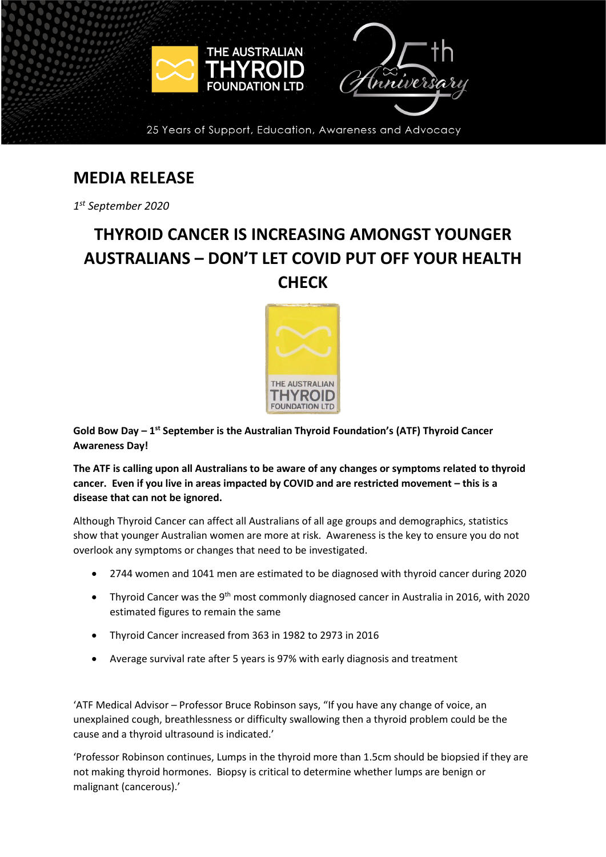

## **MEDIA RELEASE**

*1st September 2020*

## **THYROID CANCER IS INCREASING AMONGST YOUNGER AUSTRALIANS – DON'T LET COVID PUT OFF YOUR HEALTH CHECK**



**Gold Bow Day – 1st September is the Australian Thyroid Foundation's (ATF) Thyroid Cancer Awareness Day!**

**The ATF is calling upon all Australians to be aware of any changes or symptoms related to thyroid cancer. Even if you live in areas impacted by COVID and are restricted movement – this is a disease that can not be ignored.**

Although Thyroid Cancer can affect all Australians of all age groups and demographics, statistics show that younger Australian women are more at risk. Awareness is the key to ensure you do not overlook any symptoms or changes that need to be investigated.

- 2744 women and 1041 men are estimated to be diagnosed with thyroid cancer during 2020
- Thyroid Cancer was the 9<sup>th</sup> most commonly diagnosed cancer in Australia in 2016, with 2020 estimated figures to remain the same
- Thyroid Cancer increased from 363 in 1982 to 2973 in 2016
- Average survival rate after 5 years is 97% with early diagnosis and treatment

'ATF Medical Advisor – Professor Bruce Robinson says, "If you have any change of voice, an unexplained cough, breathlessness or difficulty swallowing then a thyroid problem could be the cause and a thyroid ultrasound is indicated.'

'Professor Robinson continues, Lumps in the thyroid more than 1.5cm should be biopsied if they are not making thyroid hormones. Biopsy is critical to determine whether lumps are benign or malignant (cancerous).'